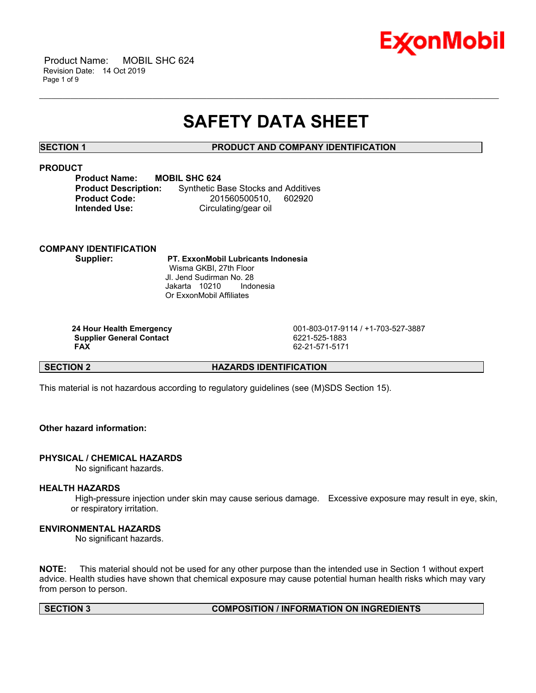

 Product Name: MOBIL SHC 624 Revision Date: 14 Oct 2019 Page 1 of 9

# **SAFETY DATA SHEET**

\_\_\_\_\_\_\_\_\_\_\_\_\_\_\_\_\_\_\_\_\_\_\_\_\_\_\_\_\_\_\_\_\_\_\_\_\_\_\_\_\_\_\_\_\_\_\_\_\_\_\_\_\_\_\_\_\_\_\_\_\_\_\_\_\_\_\_\_\_\_\_\_\_\_\_\_\_\_\_\_\_\_\_\_\_\_\_\_\_\_\_\_\_\_\_\_\_\_\_\_\_\_\_\_\_\_\_\_\_\_\_\_\_\_\_\_\_\_

# **SECTION 1 PRODUCT AND COMPANY IDENTIFICATION**

# **PRODUCT**

| <b>Product Name:</b>        | <b>MOBIL SHC 624</b>                       |  |
|-----------------------------|--------------------------------------------|--|
| <b>Product Description:</b> | <b>Synthetic Base Stocks and Additives</b> |  |
| <b>Product Code:</b>        | 201560500510.<br>602920                    |  |
| <b>Intended Use:</b>        | Circulating/gear oil                       |  |

# **COMPANY IDENTIFICATION**

 **Supplier: PT. ExxonMobil Lubricants Indonesia** Wisma GKBI, 27th Floor Jl. Jend Sudirman No. 28 Jakarta 10210 Indonesia Or ExxonMobil Affiliates

**Supplier General Contact FAX** 

 **24 Hour Health Emergency** 001-803-017-9114 / +1-703-527-3887  **FAX** 62-21-571-5171

# **SECTION 2 HAZARDS IDENTIFICATION**

This material is not hazardous according to regulatory guidelines (see (M)SDS Section 15).

# **Other hazard information:**

# **PHYSICAL / CHEMICAL HAZARDS**

No significant hazards.

# **HEALTH HAZARDS**

 High-pressure injection under skin may cause serious damage. Excessive exposure may result in eye, skin, or respiratory irritation.

# **ENVIRONMENTAL HAZARDS**

No significant hazards.

**NOTE:** This material should not be used for any other purpose than the intended use in Section 1 without expert advice. Health studies have shown that chemical exposure may cause potential human health risks which may vary from person to person.

# **SECTION 3 COMPOSITION / INFORMATION ON INGREDIENTS**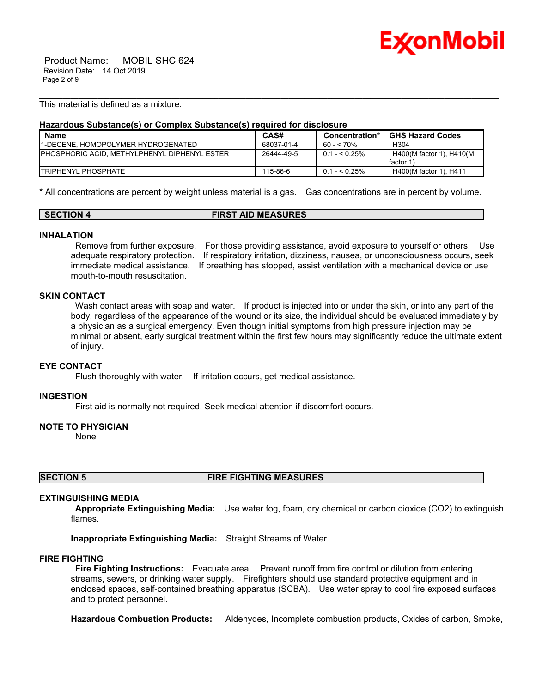

 Product Name: MOBIL SHC 624 Revision Date: 14 Oct 2019 Page 2 of 9

This material is defined as a mixture.

### **Hazardous Substance(s) or Complex Substance(s) required for disclosure**

| <b>Name</b>                                          | CAS#       | Concentration* | <b>GHS Hazard Codes</b>               |
|------------------------------------------------------|------------|----------------|---------------------------------------|
| <b>1-DECENE. HOMOPOLYMER HYDROGENATED</b>            | 68037-01-4 | 60 - < 70%     | H <sub>304</sub>                      |
| <b>IPHOSPHORIC ACID. METHYLPHENYL DIPHENYL ESTER</b> | 26444-49-5 | $0.1 - 5.25\%$ | H400(M factor 1), H410(M<br>factor 1) |
| <b>ITRIPHENYL PHOSPHATE</b>                          | 115-86-6   | $0.1 - 5.25\%$ | H400(M factor 1), H411                |

\_\_\_\_\_\_\_\_\_\_\_\_\_\_\_\_\_\_\_\_\_\_\_\_\_\_\_\_\_\_\_\_\_\_\_\_\_\_\_\_\_\_\_\_\_\_\_\_\_\_\_\_\_\_\_\_\_\_\_\_\_\_\_\_\_\_\_\_\_\_\_\_\_\_\_\_\_\_\_\_\_\_\_\_\_\_\_\_\_\_\_\_\_\_\_\_\_\_\_\_\_\_\_\_\_\_\_\_\_\_\_\_\_\_\_\_\_\_

\* All concentrations are percent by weight unless material is a gas. Gas concentrations are in percent by volume.

| SECTION 4 | <b>FIRST AID MEASURES</b> |  |
|-----------|---------------------------|--|
|-----------|---------------------------|--|

### **INHALATION**

 Remove from further exposure. For those providing assistance, avoid exposure to yourself or others. Use adequate respiratory protection. If respiratory irritation, dizziness, nausea, or unconsciousness occurs, seek immediate medical assistance. If breathing has stopped, assist ventilation with a mechanical device or use mouth-to-mouth resuscitation.

#### **SKIN CONTACT**

Wash contact areas with soap and water. If product is injected into or under the skin, or into any part of the body, regardless of the appearance of the wound or its size, the individual should be evaluated immediately by a physician as a surgical emergency. Even though initial symptoms from high pressure injection may be minimal or absent, early surgical treatment within the first few hours may significantly reduce the ultimate extent of injury.

# **EYE CONTACT**

Flush thoroughly with water. If irritation occurs, get medical assistance.

### **INGESTION**

First aid is normally not required. Seek medical attention if discomfort occurs.

#### **NOTE TO PHYSICIAN**

None

**SECTION 5 FIRE FIGHTING MEASURES**

#### **EXTINGUISHING MEDIA**

 **Appropriate Extinguishing Media:** Use water fog, foam, dry chemical or carbon dioxide (CO2) to extinguish flames.

**Inappropriate Extinguishing Media:** Straight Streams of Water

### **FIRE FIGHTING**

 **Fire Fighting Instructions:** Evacuate area. Prevent runoff from fire control or dilution from entering streams, sewers, or drinking water supply. Firefighters should use standard protective equipment and in enclosed spaces, self-contained breathing apparatus (SCBA). Use water spray to cool fire exposed surfaces and to protect personnel.

**Hazardous Combustion Products:** Aldehydes, Incomplete combustion products, Oxides of carbon, Smoke,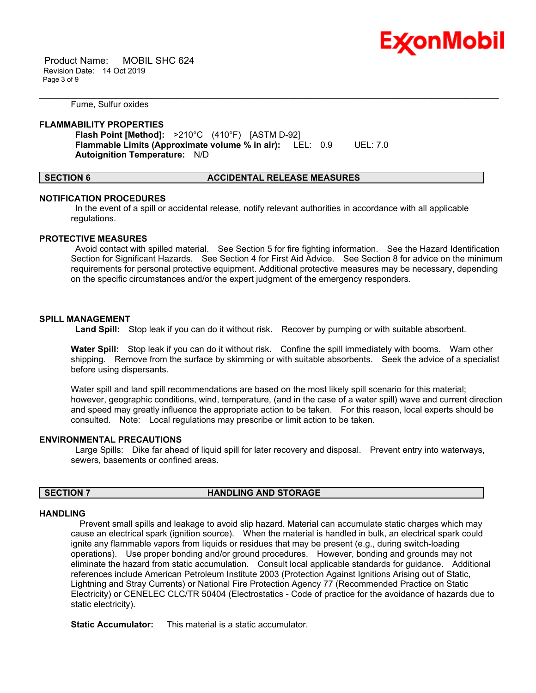

 Product Name: MOBIL SHC 624 Revision Date: 14 Oct 2019 Page 3 of 9

Fume, Sulfur oxides

#### **FLAMMABILITY PROPERTIES**

 **Flash Point [Method]:** >210°C (410°F) [ASTM D-92]  **Flammable Limits (Approximate volume % in air):** LEL: 0.9 UEL: 7.0  **Autoignition Temperature:** N/D

#### **SECTION 6 ACCIDENTAL RELEASE MEASURES**

\_\_\_\_\_\_\_\_\_\_\_\_\_\_\_\_\_\_\_\_\_\_\_\_\_\_\_\_\_\_\_\_\_\_\_\_\_\_\_\_\_\_\_\_\_\_\_\_\_\_\_\_\_\_\_\_\_\_\_\_\_\_\_\_\_\_\_\_\_\_\_\_\_\_\_\_\_\_\_\_\_\_\_\_\_\_\_\_\_\_\_\_\_\_\_\_\_\_\_\_\_\_\_\_\_\_\_\_\_\_\_\_\_\_\_\_\_\_

### **NOTIFICATION PROCEDURES**

 In the event of a spill or accidental release, notify relevant authorities in accordance with all applicable regulations.

#### **PROTECTIVE MEASURES**

 Avoid contact with spilled material. See Section 5 for fire fighting information. See the Hazard Identification Section for Significant Hazards. See Section 4 for First Aid Advice. See Section 8 for advice on the minimum requirements for personal protective equipment. Additional protective measures may be necessary, depending on the specific circumstances and/or the expert judgment of the emergency responders.

### **SPILL MANAGEMENT**

 **Land Spill:** Stop leak if you can do it without risk. Recover by pumping or with suitable absorbent.

**Water Spill:** Stop leak if you can do it without risk. Confine the spill immediately with booms. Warn other shipping. Remove from the surface by skimming or with suitable absorbents. Seek the advice of a specialist before using dispersants.

Water spill and land spill recommendations are based on the most likely spill scenario for this material; however, geographic conditions, wind, temperature, (and in the case of a water spill) wave and current direction and speed may greatly influence the appropriate action to be taken. For this reason, local experts should be consulted. Note: Local regulations may prescribe or limit action to be taken.

# **ENVIRONMENTAL PRECAUTIONS**

 Large Spills: Dike far ahead of liquid spill for later recovery and disposal. Prevent entry into waterways, sewers, basements or confined areas.

### **SECTION 7 HANDLING AND STORAGE**

#### **HANDLING**

 Prevent small spills and leakage to avoid slip hazard. Material can accumulate static charges which may cause an electrical spark (ignition source). When the material is handled in bulk, an electrical spark could ignite any flammable vapors from liquids or residues that may be present (e.g., during switch-loading operations). Use proper bonding and/or ground procedures. However, bonding and grounds may not eliminate the hazard from static accumulation. Consult local applicable standards for guidance. Additional references include American Petroleum Institute 2003 (Protection Against Ignitions Arising out of Static, Lightning and Stray Currents) or National Fire Protection Agency 77 (Recommended Practice on Static Electricity) or CENELEC CLC/TR 50404 (Electrostatics - Code of practice for the avoidance of hazards due to static electricity).

**Static Accumulator:** This material is a static accumulator.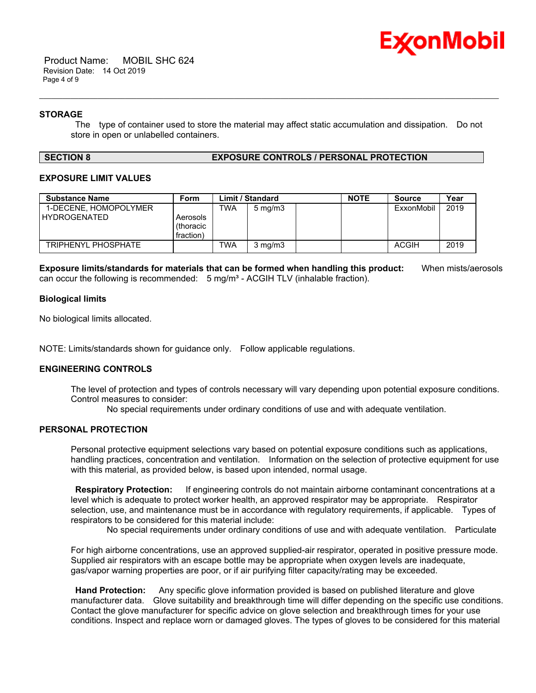

 Product Name: MOBIL SHC 624 Revision Date: 14 Oct 2019 Page 4 of 9

### **STORAGE**

 The type of container used to store the material may affect static accumulation and dissipation. Do not store in open or unlabelled containers.

\_\_\_\_\_\_\_\_\_\_\_\_\_\_\_\_\_\_\_\_\_\_\_\_\_\_\_\_\_\_\_\_\_\_\_\_\_\_\_\_\_\_\_\_\_\_\_\_\_\_\_\_\_\_\_\_\_\_\_\_\_\_\_\_\_\_\_\_\_\_\_\_\_\_\_\_\_\_\_\_\_\_\_\_\_\_\_\_\_\_\_\_\_\_\_\_\_\_\_\_\_\_\_\_\_\_\_\_\_\_\_\_\_\_\_\_\_\_

#### **SECTION 8 EXPOSURE CONTROLS / PERSONAL PROTECTION**

# **EXPOSURE LIMIT VALUES**

| <b>Substance Name</b>                        | Form                               |            | Limit / Standard | <b>NOTE</b> | <b>Source</b> | Year |
|----------------------------------------------|------------------------------------|------------|------------------|-------------|---------------|------|
| 1-DECENE. HOMOPOLYMER<br><b>HYDROGENATED</b> | Aerosols<br>(thoracic<br>fraction) | TWA        | $5 \text{ mg/m}$ |             | ExxonMobil    | 2019 |
| TRIPHENYL PHOSPHATE                          |                                    | <b>TWA</b> | $3$ mg/m $3$     |             | <b>ACGIH</b>  | 2019 |

**Exposure limits/standards for materials that can be formed when handling this product:** When mists/aerosols can occur the following is recommended:  $5 \text{ mg/m}^3$  - ACGIH TLV (inhalable fraction).

### **Biological limits**

No biological limits allocated.

NOTE: Limits/standards shown for guidance only. Follow applicable regulations.

# **ENGINEERING CONTROLS**

The level of protection and types of controls necessary will vary depending upon potential exposure conditions. Control measures to consider:

No special requirements under ordinary conditions of use and with adequate ventilation.

# **PERSONAL PROTECTION**

Personal protective equipment selections vary based on potential exposure conditions such as applications, handling practices, concentration and ventilation. Information on the selection of protective equipment for use with this material, as provided below, is based upon intended, normal usage.

 **Respiratory Protection:** If engineering controls do not maintain airborne contaminant concentrations at a level which is adequate to protect worker health, an approved respirator may be appropriate. Respirator selection, use, and maintenance must be in accordance with regulatory requirements, if applicable. Types of respirators to be considered for this material include:

No special requirements under ordinary conditions of use and with adequate ventilation. Particulate

For high airborne concentrations, use an approved supplied-air respirator, operated in positive pressure mode. Supplied air respirators with an escape bottle may be appropriate when oxygen levels are inadequate, gas/vapor warning properties are poor, or if air purifying filter capacity/rating may be exceeded.

 **Hand Protection:** Any specific glove information provided is based on published literature and glove manufacturer data. Glove suitability and breakthrough time will differ depending on the specific use conditions. Contact the glove manufacturer for specific advice on glove selection and breakthrough times for your use conditions. Inspect and replace worn or damaged gloves. The types of gloves to be considered for this material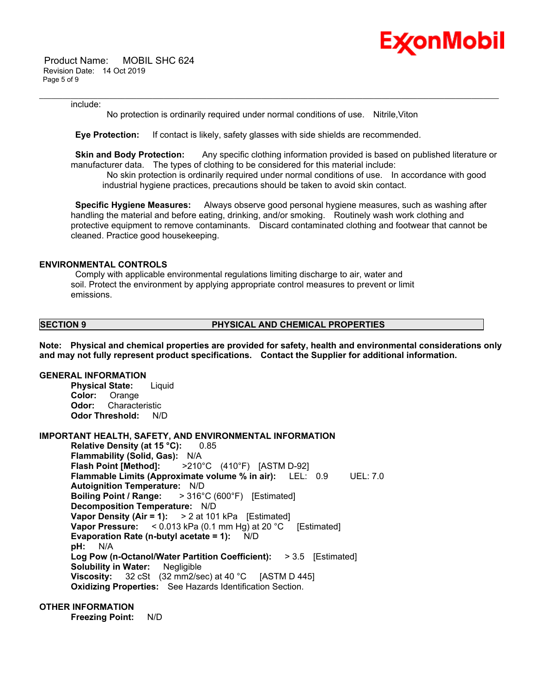

 Product Name: MOBIL SHC 624 Revision Date: 14 Oct 2019 Page 5 of 9

#### include:

No protection is ordinarily required under normal conditions of use. Nitrile,Viton

\_\_\_\_\_\_\_\_\_\_\_\_\_\_\_\_\_\_\_\_\_\_\_\_\_\_\_\_\_\_\_\_\_\_\_\_\_\_\_\_\_\_\_\_\_\_\_\_\_\_\_\_\_\_\_\_\_\_\_\_\_\_\_\_\_\_\_\_\_\_\_\_\_\_\_\_\_\_\_\_\_\_\_\_\_\_\_\_\_\_\_\_\_\_\_\_\_\_\_\_\_\_\_\_\_\_\_\_\_\_\_\_\_\_\_\_\_\_

 **Eye Protection:** If contact is likely, safety glasses with side shields are recommended.

**Skin and Body Protection:** Any specific clothing information provided is based on published literature or manufacturer data. The types of clothing to be considered for this material include:

 No skin protection is ordinarily required under normal conditions of use. In accordance with good industrial hygiene practices, precautions should be taken to avoid skin contact.

 **Specific Hygiene Measures:** Always observe good personal hygiene measures, such as washing after handling the material and before eating, drinking, and/or smoking. Routinely wash work clothing and protective equipment to remove contaminants. Discard contaminated clothing and footwear that cannot be cleaned. Practice good housekeeping.

# **ENVIRONMENTAL CONTROLS**

 Comply with applicable environmental regulations limiting discharge to air, water and soil. Protect the environment by applying appropriate control measures to prevent or limit emissions.

### **SECTION 9 PHYSICAL AND CHEMICAL PROPERTIES**

**Note: Physical and chemical properties are provided for safety, health and environmental considerations only and may not fully represent product specifications. Contact the Supplier for additional information.**

# **GENERAL INFORMATION**

**Physical State:** Liquid **Color:** Orange **Odor:** Characteristic **Odor Threshold:** N/D

# **IMPORTANT HEALTH, SAFETY, AND ENVIRONMENTAL INFORMATION**

**Relative Density (at 15 °C):** 0.85 **Flammability (Solid, Gas):** N/A **Flash Point [Method]:** >210°C (410°F) [ASTM D-92] **Flammable Limits (Approximate volume % in air):** LEL: 0.9 UEL: 7.0 **Autoignition Temperature:** N/D **Boiling Point / Range:** > 316°C (600°F) [Estimated] **Decomposition Temperature:** N/D **Vapor Density (Air = 1):** > 2 at 101 kPa [Estimated] **Vapor Pressure:** < 0.013 kPa (0.1 mm Hg) at 20 °C [Estimated] **Evaporation Rate (n-butyl acetate = 1):** N/D **pH:** N/A **Log Pow (n-Octanol/Water Partition Coefficient):** > 3.5 [Estimated] **Solubility in Water:** Negligible **Viscosity:** 32 cSt (32 mm2/sec) at 40 °C [ASTM D 445] **Oxidizing Properties:** See Hazards Identification Section.

# **OTHER INFORMATION**

**Freezing Point:** N/D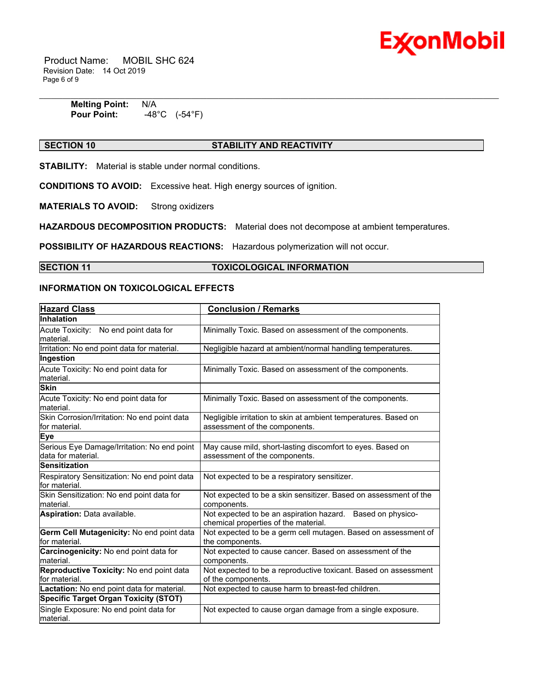

 Product Name: MOBIL SHC 624 Revision Date: 14 Oct 2019 Page 6 of 9

> **Melting Point: N/A<br>Pour Point: 48 Pour Point:** -48°C (-54°F)

# **SECTION 10 STABILITY AND REACTIVITY**

\_\_\_\_\_\_\_\_\_\_\_\_\_\_\_\_\_\_\_\_\_\_\_\_\_\_\_\_\_\_\_\_\_\_\_\_\_\_\_\_\_\_\_\_\_\_\_\_\_\_\_\_\_\_\_\_\_\_\_\_\_\_\_\_\_\_\_\_\_\_\_\_\_\_\_\_\_\_\_\_\_\_\_\_\_\_\_\_\_\_\_\_\_\_\_\_\_\_\_\_\_\_\_\_\_\_\_\_\_\_\_\_\_\_\_\_\_\_

**STABILITY:** Material is stable under normal conditions.

**CONDITIONS TO AVOID:** Excessive heat. High energy sources of ignition.

**MATERIALS TO AVOID:** Strong oxidizers

**HAZARDOUS DECOMPOSITION PRODUCTS:** Material does not decompose at ambient temperatures.

**POSSIBILITY OF HAZARDOUS REACTIONS:** Hazardous polymerization will not occur.

### **SECTION 11 TOXICOLOGICAL INFORMATION**

# **INFORMATION ON TOXICOLOGICAL EFFECTS**

| <b>Hazard Class</b>                                               | <b>Conclusion / Remarks</b>                                                                        |
|-------------------------------------------------------------------|----------------------------------------------------------------------------------------------------|
| <b>Inhalation</b>                                                 |                                                                                                    |
| Acute Toxicity: No end point data for<br>material.                | Minimally Toxic. Based on assessment of the components.                                            |
| Irritation: No end point data for material.                       | Negligible hazard at ambient/normal handling temperatures.                                         |
| Ingestion                                                         |                                                                                                    |
| Acute Toxicity: No end point data for<br>material.                | Minimally Toxic. Based on assessment of the components.                                            |
| <b>Skin</b>                                                       |                                                                                                    |
| Acute Toxicity: No end point data for<br>material.                | Minimally Toxic. Based on assessment of the components.                                            |
| Skin Corrosion/Irritation: No end point data<br>lfor material.    | Negligible irritation to skin at ambient temperatures. Based on<br>assessment of the components.   |
| Eye                                                               |                                                                                                    |
| Serious Eye Damage/Irritation: No end point<br>data for material. | May cause mild, short-lasting discomfort to eyes. Based on<br>assessment of the components.        |
| <b>Sensitization</b>                                              |                                                                                                    |
| Respiratory Sensitization: No end point data<br>for material.     | Not expected to be a respiratory sensitizer.                                                       |
| Skin Sensitization: No end point data for<br>material.            | Not expected to be a skin sensitizer. Based on assessment of the<br>components.                    |
| Aspiration: Data available.                                       | Not expected to be an aspiration hazard. Based on physico-<br>chemical properties of the material. |
| Germ Cell Mutagenicity: No end point data<br>for material.        | Not expected to be a germ cell mutagen. Based on assessment of<br>the components.                  |
| Carcinogenicity: No end point data for<br>material.               | Not expected to cause cancer. Based on assessment of the<br>components.                            |
| Reproductive Toxicity: No end point data<br>for material.         | Not expected to be a reproductive toxicant. Based on assessment<br>of the components.              |
| Lactation: No end point data for material.                        | Not expected to cause harm to breast-fed children.                                                 |
| <b>Specific Target Organ Toxicity (STOT)</b>                      |                                                                                                    |
| Single Exposure: No end point data for<br>material.               | Not expected to cause organ damage from a single exposure.                                         |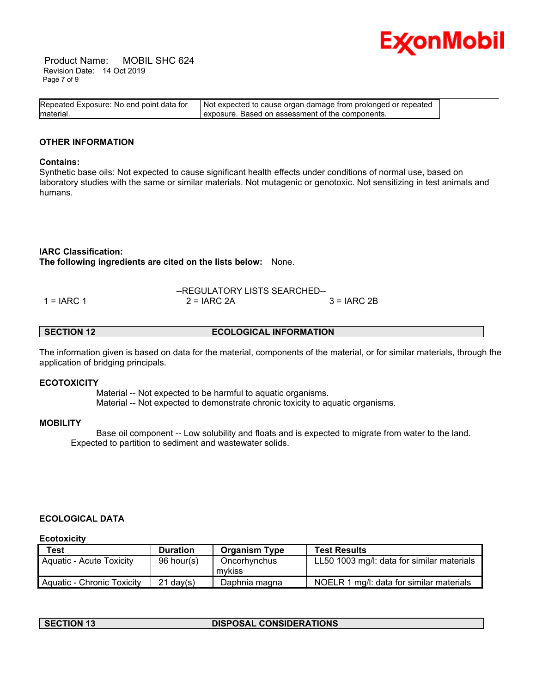

 Product Name: MOBIL SHC 624 Revision Date: 14 Oct 2019 Page 7 of 9

| Repeated Exposure: No end point data for | Not expected to cause organ damage from prolonged or repeated |  |
|------------------------------------------|---------------------------------------------------------------|--|
| material.                                | exposure. Based on assessment of the components.              |  |

# **OTHER INFORMATION**

#### **Contains:**

Synthetic base oils: Not expected to cause significant health effects under conditions of normal use, based on laboratory studies with the same or similar materials. Not mutagenic or genotoxic. Not sensitizing in test animals and humans.

### **IARC Classification:**

**The following ingredients are cited on the lists below:** None.

|              | --REGULATORY LISTS SEARCHED-- |              |
|--------------|-------------------------------|--------------|
| 1 = $IARC 1$ | $2 = IARC 2A$                 | $3 = IARC2B$ |

# **SECTION 12 ECOLOGICAL INFORMATION**

The information given is based on data for the material, components of the material, or for similar materials, through the application of bridging principals.

#### **ECOTOXICITY**

 Material -- Not expected to be harmful to aquatic organisms. Material -- Not expected to demonstrate chronic toxicity to aquatic organisms.

#### **MOBILITY**

 Base oil component -- Low solubility and floats and is expected to migrate from water to the land. Expected to partition to sediment and wastewater solids.

# **ECOLOGICAL DATA**

**Ecotoxicity**

| <b>Test</b>                     | <b>Duration</b> | <b>Organism Type</b>   | <b>Test Results</b>                        |
|---------------------------------|-----------------|------------------------|--------------------------------------------|
| <b>Aquatic - Acute Toxicity</b> | 96 hour(s)      | Oncorhynchus<br>mvkiss | LL50 1003 mg/l: data for similar materials |
| Aquatic - Chronic Toxicity      | $21$ dav(s)     | Daphnia magna          | NOELR 1 mg/l: data for similar materials   |

### **SECTION 13 DISPOSAL CONSIDERATIONS**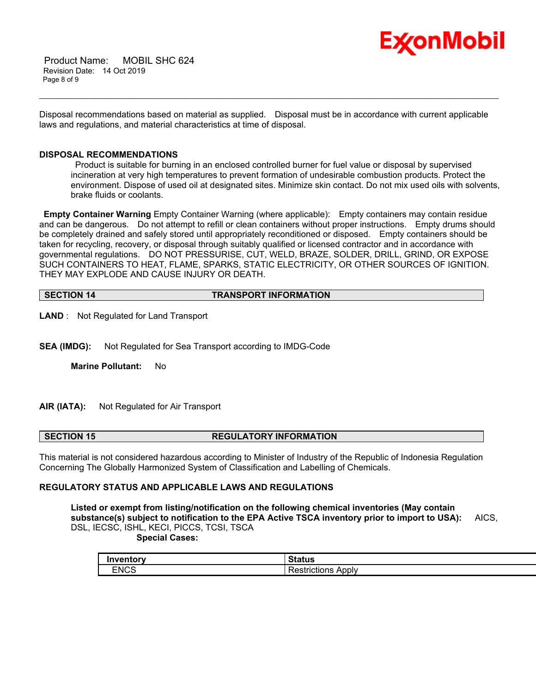

 Product Name: MOBIL SHC 624 Revision Date: 14 Oct 2019 Page 8 of 9

Disposal recommendations based on material as supplied. Disposal must be in accordance with current applicable laws and regulations, and material characteristics at time of disposal.

\_\_\_\_\_\_\_\_\_\_\_\_\_\_\_\_\_\_\_\_\_\_\_\_\_\_\_\_\_\_\_\_\_\_\_\_\_\_\_\_\_\_\_\_\_\_\_\_\_\_\_\_\_\_\_\_\_\_\_\_\_\_\_\_\_\_\_\_\_\_\_\_\_\_\_\_\_\_\_\_\_\_\_\_\_\_\_\_\_\_\_\_\_\_\_\_\_\_\_\_\_\_\_\_\_\_\_\_\_\_\_\_\_\_\_\_\_\_

# **DISPOSAL RECOMMENDATIONS**

 Product is suitable for burning in an enclosed controlled burner for fuel value or disposal by supervised incineration at very high temperatures to prevent formation of undesirable combustion products. Protect the environment. Dispose of used oil at designated sites. Minimize skin contact. Do not mix used oils with solvents, brake fluids or coolants.

**Empty Container Warning** Empty Container Warning (where applicable): Empty containers may contain residue and can be dangerous. Do not attempt to refill or clean containers without proper instructions. Empty drums should be completely drained and safely stored until appropriately reconditioned or disposed. Empty containers should be taken for recycling, recovery, or disposal through suitably qualified or licensed contractor and in accordance with governmental regulations. DO NOT PRESSURISE, CUT, WELD, BRAZE, SOLDER, DRILL, GRIND, OR EXPOSE SUCH CONTAINERS TO HEAT, FLAME, SPARKS, STATIC ELECTRICITY, OR OTHER SOURCES OF IGNITION. THEY MAY EXPLODE AND CAUSE INJURY OR DEATH.

**SECTION 14 TRANSPORT INFORMATION**

**LAND** : Not Regulated for Land Transport

**SEA (IMDG):** Not Regulated for Sea Transport according to IMDG-Code

**Marine Pollutant:** No

# **AIR (IATA):** Not Regulated for Air Transport

#### **SECTION 15 REGULATORY INFORMATION**

This material is not considered hazardous according to Minister of Industry of the Republic of Indonesia Regulation Concerning The Globally Harmonized System of Classification and Labelling of Chemicals.

# **REGULATORY STATUS AND APPLICABLE LAWS AND REGULATIONS**

**Listed or exempt from listing/notification on the following chemical inventories (May contain substance(s) subject to notification to the EPA Active TSCA inventory prior to import to USA):** AICS, DSL, IECSC, ISHL, KECI, PICCS, TCSI, TSCA  **Special Cases:**

| Inventorv   | .uuc                  |
|-------------|-----------------------|
| <b>ENCS</b> | Apply<br>estrictions. |